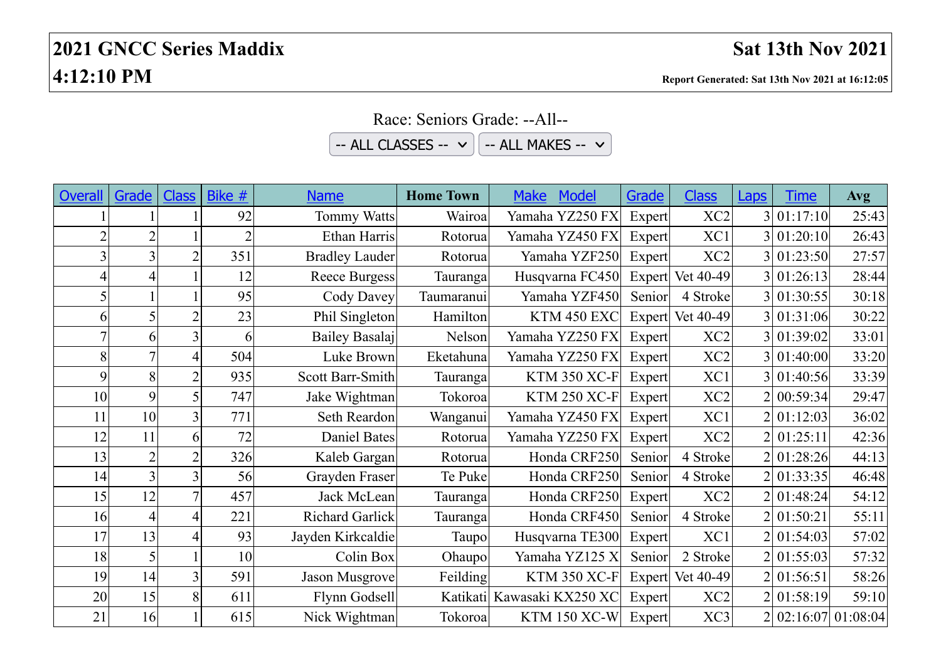| -- ALL CLASSES -- $\vee$<br>-- ALL MAKES -- $\vee$ |                |                |        |                       |                  |                            |        |                  |                |             |                     |
|----------------------------------------------------|----------------|----------------|--------|-----------------------|------------------|----------------------------|--------|------------------|----------------|-------------|---------------------|
|                                                    |                |                |        |                       |                  |                            |        |                  |                |             |                     |
| <b>Overall</b>                                     | Grade          | <b>Class</b>   | Bike # | <b>Name</b>           | <b>Home Town</b> | Model<br><b>Make</b>       | Grade  | <b>Class</b>     | <b>Laps</b>    | <b>Time</b> | Avg                 |
|                                                    |                |                | 92     | <b>Tommy Watts</b>    | Wairoa           | Yamaha YZ250 FX            | Expert | XC <sub>2</sub>  | $\overline{3}$ | 01:17:10    | 25:43               |
|                                                    | $\overline{2}$ |                |        | Ethan Harris          | Rotorua          | Yamaha YZ450 FX            | Expert | XC1              | $\overline{3}$ | 01:20:10    | 26:43               |
|                                                    | 3              | $\overline{2}$ | 351    | <b>Bradley Lauder</b> | Rotorua          | Yamaha YZF250              | Expert | XC <sub>2</sub>  |                | 01:23:50    | 27:57               |
| 4                                                  | $\overline{4}$ |                | 12     | Reece Burgess         | Tauranga         | Husqvarna FC450            | Expert | Vet 40-49        |                | 01:26:13    | 28:44               |
|                                                    |                |                | 95     | Cody Davey            | Taumaranui       | Yamaha YZF450              | Senior | 4 Stroke         |                | 01:30:55    | 30:18               |
| 6                                                  | 5              | $\overline{2}$ | 23     | Phil Singleton        | Hamilton         | KTM 450 EXC                |        | Expert Vet 40-49 |                | 01:31:06    | 30:22               |
| 7                                                  | 6              | 3              | 6      | Bailey Basalaj        | Nelson           | Yamaha YZ250 FX            | Expert | XC <sub>2</sub>  |                | 01:39:02    | 33:01               |
| 8                                                  | $\overline{7}$ | 4              | 504    | Luke Brown            | Eketahuna        | Yamaha YZ250 FX            | Expert | XC <sub>2</sub>  |                | 01:40:00    | 33:20               |
| 9                                                  | 8              | $\overline{2}$ | 935    | Scott Barr-Smith      | Tauranga         | <b>KTM 350 XC-F</b>        | Expert | XC1              |                | 01:40:56    | 33:39               |
| 10                                                 | 9              | 5              | 747    | Jake Wightman         | Tokoroa          | <b>KTM 250 XC-F</b>        | Expert | XC <sub>2</sub>  |                | 00:59:34    | 29:47               |
| 11                                                 | 10             | 3              | 771    | Seth Reardon          | Wanganui         | Yamaha YZ450 FX            | Expert | XC1              |                | 01:12:03    | 36:02               |
| 12                                                 | 11             | 6              | 72     | Daniel Bates          | Rotorua          | Yamaha YZ250 FX            | Expert | XC <sub>2</sub>  |                | 01:25:11    | 42:36               |
| 13                                                 | $\overline{2}$ | $\overline{2}$ | 326    | Kaleb Gargan          | Rotorua          | Honda CRF250               | Senior | 4 Stroke         |                | 01:28:26    | 44:13               |
| 14                                                 | $\overline{3}$ | 3              | 56     | Grayden Fraser        | Te Puke          | Honda CRF250               | Senior | 4 Stroke         |                | 01:33:35    | 46:48               |
| 15                                                 | 12             | $\overline{7}$ | 457    | Jack McLean           | Tauranga         | Honda CRF250               | Expert | XC <sub>2</sub>  |                | 01:48:24    | 54:12               |
| 16                                                 | $\overline{4}$ | 4              | 221    | Richard Garlick       | Tauranga         | Honda CRF450               | Senior | 4 Stroke         |                | 01:50:21    | 55:11               |
| 17                                                 | 13             | 4              | 93     | Jayden Kirkcaldie     | Taupo            | Husqvarna TE300            | Expert | XC1              |                | 01:54:03    | 57:02               |
| 18                                                 | 5              |                | 10     | Colin Box             | Ohaupo           | Yamaha YZ125 X             | Senior | 2 Stroke         |                | 01:55:03    | 57:32               |
| 19                                                 | 14             | 3              | 591    | Jason Musgrove        | Feilding         | <b>KTM 350 XC-F</b>        |        | Expert Vet 40-49 |                | 2 01:56:51  | 58:26               |
| 20                                                 | 15             | 8              | 611    | Flynn Godsell         |                  | Katikati Kawasaki KX250 XC | Expert | XC <sub>2</sub>  |                | 01:58:19    | 59:10               |
| 21                                                 | 16             |                | 615    | Nick Wightman         | Tokoroa          | <b>KTM 150 XC-W</b>        | Expert | XC3              | $\overline{2}$ |             | $02:16:07$ 01:08:04 |

Race: Seniors Grade: --All--  $-11.0112555$